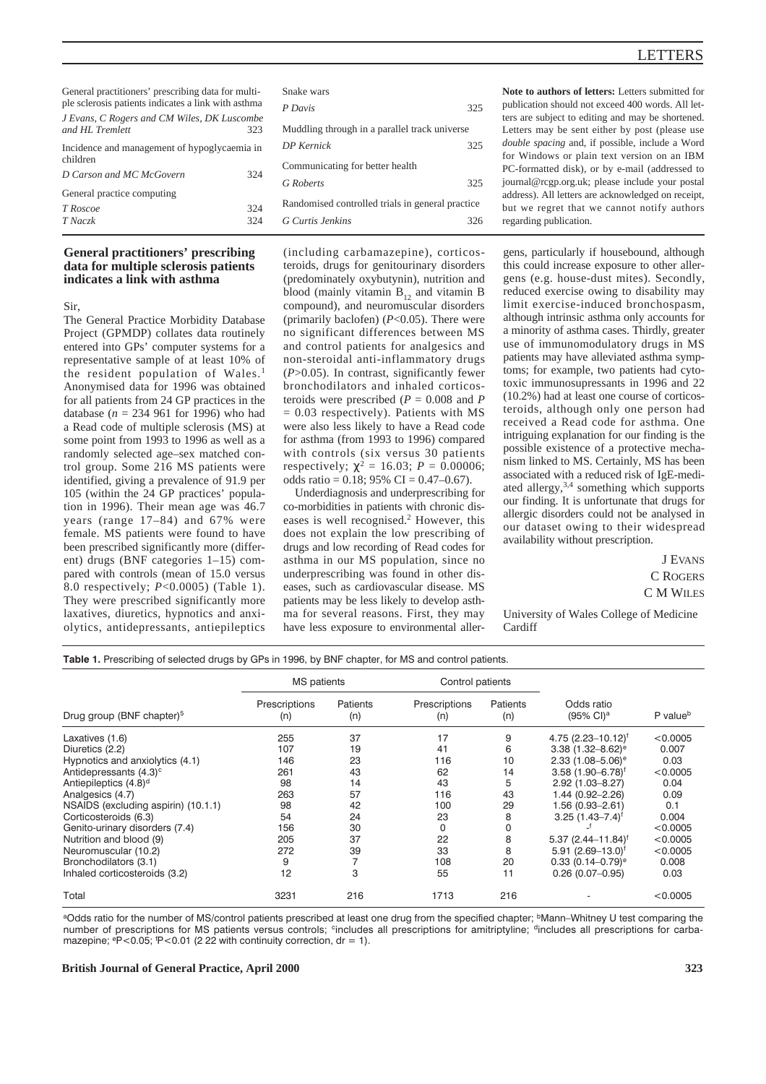# LETTERS

| General practitioners' prescribing data for multi-<br>ple sclerosis patients indicates a link with asthma |     | Snake wars                                       |     |  |  |
|-----------------------------------------------------------------------------------------------------------|-----|--------------------------------------------------|-----|--|--|
|                                                                                                           |     | P Davis                                          | 325 |  |  |
| J Evans, C Rogers and CM Wiles, DK Luscombe<br>and HL Tremlett<br>323                                     |     | Muddling through in a parallel track universe    |     |  |  |
| Incidence and management of hypoglycaemia in<br>children                                                  |     | <b>DP</b> Kernick                                | 325 |  |  |
| D Carson and MC McGovern                                                                                  | 324 | Communicating for better health                  |     |  |  |
|                                                                                                           |     | G Roberts                                        | 325 |  |  |
| General practice computing                                                                                |     |                                                  |     |  |  |
| T Roscoe                                                                                                  | 324 | Randomised controlled trials in general practice |     |  |  |
| T Naczk                                                                                                   | 324 | G Curtis Jenkins                                 | 326 |  |  |
|                                                                                                           |     |                                                  |     |  |  |

# **General practitioners' prescribing data for multiple sclerosis patients indicates a link with asthma**

Sir,

The General Practice Morbidity Database Project (GPMDP) collates data routinely entered into GPs' computer systems for a representative sample of at least 10% of the resident population of Wales.<sup>1</sup> Anonymised data for 1996 was obtained for all patients from 24 GP practices in the database (*n* = 234 961 for 1996) who had a Read code of multiple sclerosis (MS) at some point from 1993 to 1996 as well as a randomly selected age–sex matched control group. Some 216 MS patients were identified, giving a prevalence of 91.9 per 105 (within the 24 GP practices' population in 1996). Their mean age was 46.7 years (range 17–84) and 67% were female. MS patients were found to have been prescribed significantly more (different) drugs (BNF categories 1–15) compared with controls (mean of 15.0 versus 8.0 respectively; *P*<0.0005) (Table 1). They were prescribed significantly more laxatives, diuretics, hypnotics and anxiolytics, antidepressants, antiepileptics (including carbamazepine), corticosteroids, drugs for genitourinary disorders (predominately oxybutynin), nutrition and blood (mainly vitamin  $B_{12}$  and vitamin B compound), and neuromuscular disorders (primarily baclofen) (*P*<0.05). There were no significant differences between MS and control patients for analgesics and non-steroidal anti-inflammatory drugs (*P*>0.05). In contrast, significantly fewer bronchodilators and inhaled corticosteroids were prescribed  $(P = 0.008$  and *P* = 0.03 respectively). Patients with MS were also less likely to have a Read code for asthma (from 1993 to 1996) compared with controls (six versus 30 patients respectively;  $\chi^2 = 16.03$ ;  $P = 0.00006$ ; odds ratio =  $0.18$ ; 95% CI =  $0.47-0.67$ ).

Underdiagnosis and underprescribing for co-morbidities in patients with chronic diseases is well recognised.<sup>2</sup> However, this does not explain the low prescribing of drugs and low recording of Read codes for asthma in our MS population, since no underprescribing was found in other diseases, such as cardiovascular disease. MS patients may be less likely to develop asthma for several reasons. First, they may have less exposure to environmental aller**Note to authors of letters:** Letters submitted for publication should not exceed 400 words. All letters are subject to editing and may be shortened. Letters may be sent either by post (please use *double spacing* and, if possible, include a Word for Windows or plain text version on an IBM PC-formatted disk), or by e-mail (addressed to journal@rcgp.org.uk; please include your postal address). All letters are acknowledged on receipt, but we regret that we cannot notify authors regarding publication.

gens, particularly if housebound, although this could increase exposure to other allergens (e.g. house-dust mites). Secondly, reduced exercise owing to disability may limit exercise-induced bronchospasm, although intrinsic asthma only accounts for a minority of asthma cases. Thirdly, greater use of immunomodulatory drugs in MS patients may have alleviated asthma symptoms; for example, two patients had cytotoxic immunosupressants in 1996 and 22 (10.2%) had at least one course of corticosteroids, although only one person had received a Read code for asthma. One intriguing explanation for our finding is the possible existence of a protective mechanism linked to MS. Certainly, MS has been associated with a reduced risk of IgE-mediated allergy,3,4 something which supports our finding. It is unfortunate that drugs for allergic disorders could not be analysed in our dataset owing to their widespread availability without prescription.

> J EVANS C ROGERS C M WILES

University of Wales College of Medicine Cardiff

**Table 1.** Prescribing of selected drugs by GPs in 1996, by BNF chapter, for MS and control patients.

| Drug group (BNF chapter) <sup>5</sup> | MS patients          |                 | Control patients     |                 |                                    |                      |
|---------------------------------------|----------------------|-----------------|----------------------|-----------------|------------------------------------|----------------------|
|                                       | Prescriptions<br>(n) | Patients<br>(n) | Prescriptions<br>(n) | Patients<br>(n) | Odds ratio<br>$(95% \text{ Cl})^a$ | P value <sup>b</sup> |
| Laxatives (1.6)                       | 255                  | 37              | 17                   | 9               | 4.75 $(2.23 - 10.12)^f$            | < 0.0005             |
| Diuretics (2.2)                       | 107                  | 19              | 41                   | 6               | 3.38 $(1.32 - 8.62)$ <sup>e</sup>  | 0.007                |
| Hypnotics and anxiolytics (4.1)       | 146                  | 23              | 116                  | 10              | 2.33 $(1.08 - 5.06)$ <sup>e</sup>  | 0.03                 |
| Antidepressants (4.3) <sup>c</sup>    | 261                  | 43              | 62                   | 14              | $3.58(1.90 - 6.78)^f$              | < 0.0005             |
| Antiepileptics (4.8) <sup>d</sup>     | 98                   | 14              | 43                   | 5               | $2.92(1.03 - 8.27)$                | 0.04                 |
| Analgesics (4.7)                      | 263                  | 57              | 116                  | 43              | 1.44 (0.92-2.26)                   | 0.09                 |
| NSAIDS (excluding aspirin) (10.1.1)   | 98                   | 42              | 100                  | 29              | 1.56 (0.93-2.61)                   | 0.1                  |
| Corticosteroids (6.3)                 | 54                   | 24              | 23                   | 8               | $3.25(1.43 - 7.4)^f$               | 0.004                |
| Genito-urinary disorders (7.4)        | 156                  | 30              | $\Omega$             |                 |                                    | < 0.0005             |
| Nutrition and blood (9)               | 205                  | 37              | 22                   | 8               | $5.37(2.44 - 11.84)^t$             | < 0.0005             |
| Neuromuscular (10.2)                  | 272                  | 39              | 33                   | 8               | $5.91(2.69 - 13.0)^f$              | < 0.0005             |
| Bronchodilators (3.1)                 | 9                    |                 | 108                  | 20              | $0.33$ (0.14-0.79) <sup>e</sup>    | 0.008                |
| Inhaled corticosteroids (3.2)         | 12                   | 3               | 55                   | 11              | $0.26(0.07-0.95)$                  | 0.03                 |
| Total                                 | 3231                 | 216             | 1713                 | 216             |                                    | < 0.0005             |

aOdds ratio for the number of MS/control patients prescribed at least one drug from the specified chapter; <sup>b</sup>Mann–Whitney U test comparing the number of prescriptions for MS patients versus controls; cincludes all prescriptions for amitriptyline; dincludes all prescriptions for carbamazepine;  $P < 0.05$ ;  $P < 0.01$  (2 22 with continuity correction, dr = 1).

#### **British Journal of General Practice, April 2000 323**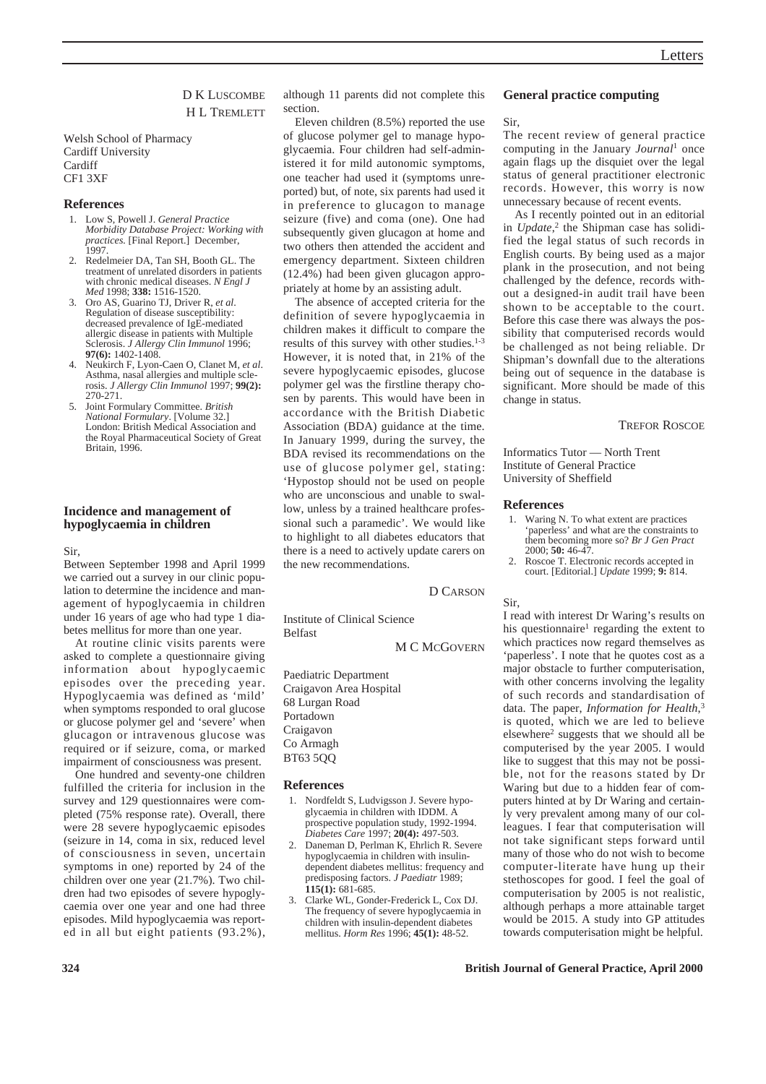# D K LUSCOMBE H L TREMLETT

Welsh School of Pharmacy Cardiff University Cardiff CF1 3XF

### **References**

- 1. Low S, Powell J. *General Practice Morbidity Database Project: Working with practices.* [Final Report.] December, 1997.
- 2. Redelmeier DA, Tan SH, Booth GL. The treatment of unrelated disorders in patients with chronic medical diseases. *N Engl J Med* 1998; **338:** 1516-1520.
- 3. Oro AS, Guarino TJ, Driver R, *et al*. Regulation of disease susceptibility: decreased prevalence of IgE-mediated allergic disease in patients with Multiple Sclerosis. *J Allergy Clin Immunol* 1996; **97(6):** 1402-1408.
- 4. Neukirch F, Lyon-Caen O, Clanet M, *et al*. Asthma, nasal allergies and multiple sclerosis. *J Allergy Clin Immunol* 1997; **99(2):** 270-271.
- 5. Joint Formulary Committee. *British National Formulary*. [Volume 32.] London: British Medical Association and the Royal Pharmaceutical Society of Great Britain, 1996.

# **Incidence and management of hypoglycaemia in children**

Sir,

Between September 1998 and April 1999 we carried out a survey in our clinic population to determine the incidence and management of hypoglycaemia in children under 16 years of age who had type 1 diabetes mellitus for more than one year.

At routine clinic visits parents were asked to complete a questionnaire giving information about hypoglycaemic episodes over the preceding year. Hypoglycaemia was defined as 'mild' when symptoms responded to oral glucose or glucose polymer gel and 'severe' when glucagon or intravenous glucose was required or if seizure, coma, or marked impairment of consciousness was present.

One hundred and seventy-one children fulfilled the criteria for inclusion in the survey and 129 questionnaires were completed (75% response rate). Overall, there were 28 severe hypoglycaemic episodes (seizure in 14, coma in six, reduced level of consciousness in seven, uncertain symptoms in one) reported by 24 of the children over one year (21.7%). Two children had two episodes of severe hypoglycaemia over one year and one had three episodes. Mild hypoglycaemia was reported in all but eight patients (93.2%), although 11 parents did not complete this section.

Eleven children (8.5%) reported the use of glucose polymer gel to manage hypoglycaemia. Four children had self-administered it for mild autonomic symptoms, one teacher had used it (symptoms unreported) but, of note, six parents had used it in preference to glucagon to manage seizure (five) and coma (one). One had subsequently given glucagon at home and two others then attended the accident and emergency department. Sixteen children (12.4%) had been given glucagon appropriately at home by an assisting adult.

The absence of accepted criteria for the definition of severe hypoglycaemia in children makes it difficult to compare the results of this survey with other studies.<sup>1-3</sup> However, it is noted that, in 21% of the severe hypoglycaemic episodes, glucose polymer gel was the firstline therapy chosen by parents. This would have been in accordance with the British Diabetic Association (BDA) guidance at the time. In January 1999, during the survey, the BDA revised its recommendations on the use of glucose polymer gel, stating: 'Hypostop should not be used on people who are unconscious and unable to swallow, unless by a trained healthcare professional such a paramedic'. We would like to highlight to all diabetes educators that there is a need to actively update carers on the new recommendations.

D CARSON

Institute of Clinical Science Belfast

M C MCGOVERN

Paediatric Department Craigavon Area Hospital 68 Lurgan Road Portadown Craigavon Co Armagh BT63 5QQ

## **References**

- 1. Nordfeldt S, Ludvigsson J. Severe hypoglycaemia in children with IDDM. A prospective population study, 1992-1994. *Diabetes Care* 1997; **20(4):** 497-503.
- Daneman D, Perlman K, Ehrlich R. Severe hypoglycaemia in children with insulindependent diabetes mellitus: frequency and predisposing factors. *J Paediatr* 1989; **115(1):** 681-685.
- 3. Clarke WL, Gonder-Frederick L, Cox DJ. The frequency of severe hypoglycaemia in children with insulin-dependent diabetes mellitus. *Horm Res* 1996; **45(1):** 48-52.

## **General practice computing**

#### Sir,

The recent review of general practice computing in the January *Journal*<sup>1</sup> once again flags up the disquiet over the legal status of general practitioner electronic records. However, this worry is now unnecessary because of recent events.

As I recently pointed out in an editorial in *Update*, <sup>2</sup> the Shipman case has solidified the legal status of such records in English courts. By being used as a major plank in the prosecution, and not being challenged by the defence, records without a designed-in audit trail have been shown to be acceptable to the court. Before this case there was always the possibility that computerised records would be challenged as not being reliable. Dr Shipman's downfall due to the alterations being out of sequence in the database is significant. More should be made of this change in status.

TREFOR ROSCOE

Informatics Tutor — North Trent Institute of General Practice University of Sheffield

#### **References**

- 1. Waring N. To what extent are practices 'paperless' and what are the constraints to them becoming more so? *Br J Gen Pract* 2000; **50:** 46-47.
- 2. Roscoe T. Electronic records accepted in court. [Editorial.] *Update* 1999; **9:** 814.

Sir,

I read with interest Dr Waring's results on his questionnaire<sup>1</sup> regarding the extent to which practices now regard themselves as 'paperless'. I note that he quotes cost as a major obstacle to further computerisation, with other concerns involving the legality of such records and standardisation of data. The paper, *Information for Health*, 3 is quoted, which we are led to believe elsewhere2 suggests that we should all be computerised by the year 2005. I would like to suggest that this may not be possible, not for the reasons stated by Dr Waring but due to a hidden fear of computers hinted at by Dr Waring and certainly very prevalent among many of our colleagues. I fear that computerisation will not take significant steps forward until many of those who do not wish to become computer-literate have hung up their stethoscopes for good. I feel the goal of computerisation by 2005 is not realistic, although perhaps a more attainable target would be 2015. A study into GP attitudes towards computerisation might be helpful.

**324 British Journal of General Practice, April 2000**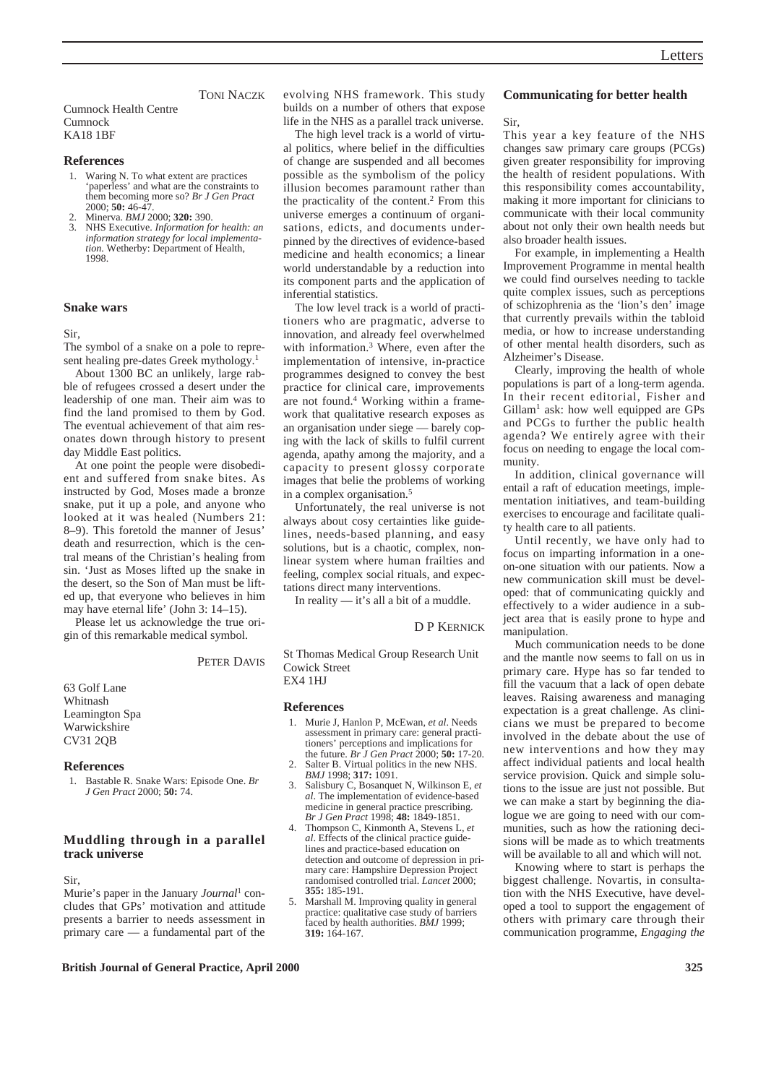#### TONI NACZK

# Cumnock Health Centre Cumnock KA18 1BF

# **References**

- 1. Waring N. To what extent are practices 'paperless' and what are the constraints to them becoming more so? *Br J Gen Pract* 2000; **50:** 46-47.
- 2. Minerva. *BMJ* 2000; **320:** 390.
- 3. NHS Executive. *Information for health: an information strategy for local implementation.* Wetherby: Department of Health, 1998.

## **Snake wars**

Sir,

The symbol of a snake on a pole to represent healing pre-dates Greek mythology.1

About 1300 BC an unlikely, large rabble of refugees crossed a desert under the leadership of one man. Their aim was to find the land promised to them by God. The eventual achievement of that aim resonates down through history to present day Middle East politics.

At one point the people were disobedient and suffered from snake bites. As instructed by God, Moses made a bronze snake, put it up a pole, and anyone who looked at it was healed (Numbers 21: 8–9). This foretold the manner of Jesus' death and resurrection, which is the central means of the Christian's healing from sin. 'Just as Moses lifted up the snake in the desert, so the Son of Man must be lifted up, that everyone who believes in him may have eternal life' (John 3: 14–15).

Please let us acknowledge the true origin of this remarkable medical symbol.

# PETER DAVIS

63 Golf Lane Whitnash Leamington Spa Warwickshire CV31 2QB

## **References**

1. Bastable R. Snake Wars: Episode One. *Br J Gen Pract* 2000; **50:** 74.

# **Muddling through in a parallel track universe**

Sir,

Murie's paper in the January *Journal*<sup>1</sup> concludes that GPs' motivation and attitude presents a barrier to needs assessment in primary care — a fundamental part of the evolving NHS framework. This study builds on a number of others that expose life in the NHS as a parallel track universe.

The high level track is a world of virtual politics, where belief in the difficulties of change are suspended and all becomes possible as the symbolism of the policy illusion becomes paramount rather than the practicality of the content.<sup>2</sup> From this universe emerges a continuum of organisations, edicts, and documents underpinned by the directives of evidence-based medicine and health economics; a linear world understandable by a reduction into its component parts and the application of inferential statistics.

The low level track is a world of practitioners who are pragmatic, adverse to innovation, and already feel overwhelmed with information.<sup>3</sup> Where, even after the implementation of intensive, in-practice programmes designed to convey the best practice for clinical care, improvements are not found.4 Working within a framework that qualitative research exposes as an organisation under siege — barely coping with the lack of skills to fulfil current agenda, apathy among the majority, and a capacity to present glossy corporate images that belie the problems of working in a complex organisation.5

Unfortunately, the real universe is not always about cosy certainties like guidelines, needs-based planning, and easy solutions, but is a chaotic, complex, nonlinear system where human frailties and feeling, complex social rituals, and expectations direct many interventions.

In reality — it's all a bit of a muddle.

D P KERNICK

St Thomas Medical Group Research Unit Cowick Street EX4 1HJ

#### **References**

- 1. Murie J, Hanlon P, McEwan, *et al*. Needs assessment in primary care: general practitioners' perceptions and implications for the future. *Br J Gen Pract* 2000; **50:** 17-20.
- 2. Salter B. Virtual politics in the new NHS. *BMJ* 1998; **317:** 1091.
- 3. Salisbury C, Bosanquet N, Wilkinson E, *et al*. The implementation of evidence-based medicine in general practice prescribing. *Br J Gen Pract* 1998; **48:** 1849-1851.
- 4. Thompson C, Kinmonth A, Stevens L, *et al*. Effects of the clinical practice guidelines and practice-based education on detection and outcome of depression in primary care: Hampshire Depression Project randomised controlled trial. *Lancet* 2000; **355:** 185-191.
- 5. Marshall M. Improving quality in general practice: qualitative case study of barriers faced by health authorities. *BMJ* 1999; **319:** 164-167.

## **Communicating for better health**

## Sir,

This year a key feature of the NHS changes saw primary care groups (PCGs) given greater responsibility for improving the health of resident populations. With this responsibility comes accountability, making it more important for clinicians to communicate with their local community about not only their own health needs but also broader health issues.

For example, in implementing a Health Improvement Programme in mental health we could find ourselves needing to tackle quite complex issues, such as perceptions of schizophrenia as the 'lion's den' image that currently prevails within the tabloid media, or how to increase understanding of other mental health disorders, such as Alzheimer's Disease.

Clearly, improving the health of whole populations is part of a long-term agenda. In their recent editorial, Fisher and Gillam<sup>1</sup> ask: how well equipped are GPs and PCGs to further the public health agenda? We entirely agree with their focus on needing to engage the local community.

In addition, clinical governance will entail a raft of education meetings, implementation initiatives, and team-building exercises to encourage and facilitate quality health care to all patients.

Until recently, we have only had to focus on imparting information in a oneon-one situation with our patients. Now a new communication skill must be developed: that of communicating quickly and effectively to a wider audience in a subject area that is easily prone to hype and manipulation.

Much communication needs to be done and the mantle now seems to fall on us in primary care. Hype has so far tended to fill the vacuum that a lack of open debate leaves. Raising awareness and managing expectation is a great challenge. As clinicians we must be prepared to become involved in the debate about the use of new interventions and how they may affect individual patients and local health service provision. Quick and simple solutions to the issue are just not possible. But we can make a start by beginning the dialogue we are going to need with our communities, such as how the rationing decisions will be made as to which treatments will be available to all and which will not.

Knowing where to start is perhaps the biggest challenge. Novartis, in consultation with the NHS Executive, have developed a tool to support the engagement of others with primary care through their communication programme, *Engaging the*

**British Journal of General Practice, April 2000 325**